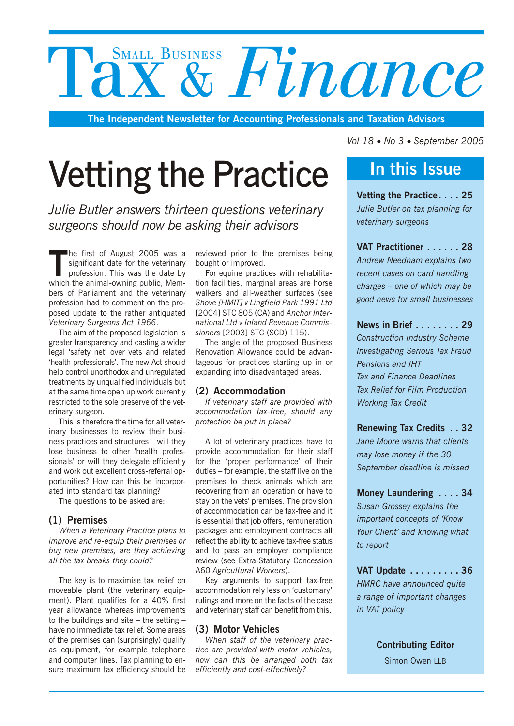# SMALL BUSINESS **Finance**

**The Independent Newsletter for Accounting Professionals and Taxation Advisors**

## Vetting the Practice

*Julie Butler answers thirteen questions veterinary surgeons should now be asking their advisors*

The first of August 2005 was a significant date for the veterinary profession. This was the date by which the animal-owning public, Memhe first of August 2005 was a significant date for the veterinary profession. This was the date by bers of Parliament and the veterinary profession had to comment on the proposed update to the rather antiquated *Veterinary Surgeons Act 1966*.

The aim of the proposed legislation is greater transparency and casting a wider legal 'safety net' over vets and related 'health professionals'. The new Act should help control unorthodox and unregulated treatments by unqualified individuals but at the same time open up work currently restricted to the sole preserve of the veterinary surgeon.

This is therefore the time for all veterinary businesses to review their business practices and structures – will they lose business to other 'health professionals' or will they delegate efficiently and work out excellent cross-referral opportunities? How can this be incorporated into standard tax planning?

The questions to be asked are:

#### **(1) Premises**

*When a Veterinary Practice plans to improve and re-equip their premises or buy new premises, are they achieving all the tax breaks they could?*

The key is to maximise tax relief on moveable plant (the veterinary equipment). Plant qualifies for a 40% first year allowance whereas improvements to the buildings and site – the setting – have no immediate tax relief. Some areas of the premises can (surprisingly) qualify as equipment, for example telephone and computer lines. Tax planning to ensure maximum tax efficiency should be reviewed prior to the premises being bought or improved.

For equine practices with rehabilitation facilities, marginal areas are horse walkers and all-weather surfaces (see *Shove [HMIT] v Lingfield Park 1991 Ltd* [2004] STC 805 (CA) and *Anchor International Ltd v Inland Revenue Commissioners* [2003] STC (SCD) 115).

The angle of the proposed Business Renovation Allowance could be advantageous for practices starting up in or expanding into disadvantaged areas.

#### **(2) Accommodation**

*If veterinary staff are provided with accommodation tax-free, should any protection be put in place?*

A lot of veterinary practices have to provide accommodation for their staff for the 'proper performance' of their duties – for example, the staff live on the premises to check animals which are recovering from an operation or have to stay on the vets' premises. The provision of accommodation can be tax-free and it is essential that job offers, remuneration packages and employment contracts all reflect the ability to achieve tax-free status and to pass an employer compliance review (see Extra-Statutory Concession A60 *Agricultural Workers*).

Key arguments to support tax-free accommodation rely less on 'customary' rulings and more on the facts of the case and veterinary staff can benefit from this.

#### **(3) Motor Vehicles**

*When staff of the veterinary practice are provided with motor vehicles, how can this be arranged both tax efficiently and cost-effectively?*

*Vol 18 No 3* • *September 2005*

### **In this Issue**

**Vetting the Practice.... 25** *Julie Butler on tax planning for veterinary surgeons*

**VAT Practitioner ...... 28** *Andrew Needham explains two recent cases on card handling charges – one of which may be good news for small businesses*

**News in Brief ........ 29** *Construction Industry Scheme Investigating Serious Tax Fraud Pensions and IHT Tax and Finance Deadlines Tax Relief for Film Production Working Tax Credit*

**Renewing Tax Credits . . 32** *Jane Moore warns that clients may lose money if the 30 September deadline is missed*

**Money Laundering .... 34** *Susan Grossey explains the important concepts of 'Know Your Client' and knowing what to report*

**VAT Update ......... 36** *HMRC have announced quite a range of important changes in VAT policy*

**Contributing Editor**

Simon Owen LLB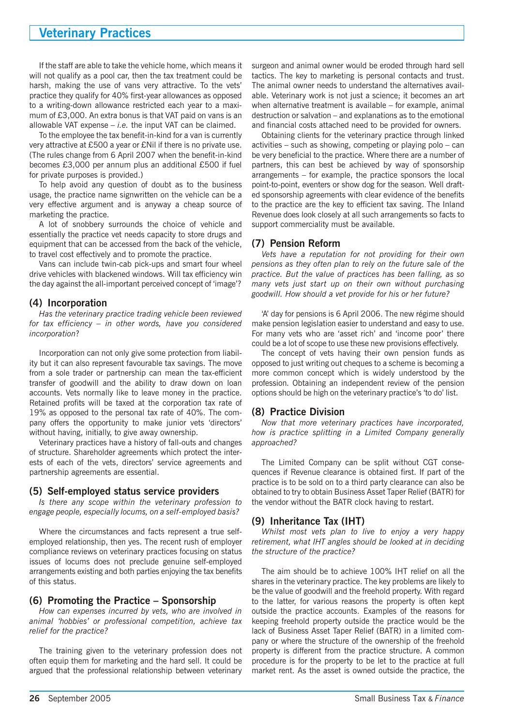#### **Veterinary Practices**

If the staff are able to take the vehicle home, which means it will not qualify as a pool car, then the tax treatment could be harsh, making the use of vans very attractive. To the vets' practice they qualify for 40% first-year allowances as opposed to a writing-down allowance restricted each year to a maximum of £3,000. An extra bonus is that VAT paid on vans is an allowable VAT expense – *i.e.* the input VAT can be claimed.

To the employee the tax benefit-in-kind for a van is currently very attractive at £500 a year or £Nil if there is no private use. (The rules change from 6 April 2007 when the benefit-in-kind becomes £3,000 per annum plus an additional £500 if fuel for private purposes is provided.)

To help avoid any question of doubt as to the business usage, the practice name signwritten on the vehicle can be a very effective argument and is anyway a cheap source of marketing the practice.

A lot of snobbery surrounds the choice of vehicle and essentially the practice vet needs capacity to store drugs and equipment that can be accessed from the back of the vehicle, to travel cost effectively and to promote the practice.

Vans can include twin-cab pick-ups and smart four wheel drive vehicles with blackened windows. Will tax efficiency win the day against the all-important perceived concept of 'image'?

#### **(4) Incorporation**

*Has the veterinary practice trading vehicle been reviewed for tax efficiency – in other words, have you considered incorporation*?

Incorporation can not only give some protection from liability but it can also represent favourable tax savings. The move from a sole trader or partnership can mean the tax-efficient transfer of goodwill and the ability to draw down on loan accounts. Vets normally like to leave money in the practice. Retained profits will be taxed at the corporation tax rate of 19% as opposed to the personal tax rate of 40%. The company offers the opportunity to make junior vets 'directors' without having, initially, to give away ownership.

Veterinary practices have a history of fall-outs and changes of structure. Shareholder agreements which protect the interests of each of the vets, directors' service agreements and partnership agreements are essential.

#### **(5) Self-employed status service providers**

*Is there any scope within the veterinary profession to engage people, especially locums, on a self-employed basis?*

Where the circumstances and facts represent a true selfemployed relationship, then yes. The recent rush of employer compliance reviews on veterinary practices focusing on status issues of locums does not preclude genuine self-employed arrangements existing and both parties enjoying the tax benefits of this status.

#### **(6) Promoting the Practice – Sponsorship**

*How can expenses incurred by vets, who are involved in animal 'hobbies' or professional competition, achieve tax relief for the practice?*

The training given to the veterinary profession does not often equip them for marketing and the hard sell. It could be argued that the professional relationship between veterinary surgeon and animal owner would be eroded through hard sell tactics. The key to marketing is personal contacts and trust. The animal owner needs to understand the alternatives available. Veterinary work is not just a science; it becomes an art when alternative treatment is available – for example, animal destruction or salvation – and explanations as to the emotional and financial costs attached need to be provided for owners.

Obtaining clients for the veterinary practice through linked activities – such as showing, competing or playing polo – can be very beneficial to the practice. Where there are a number of partners, this can best be achieved by way of sponsorship arrangements – for example, the practice sponsors the local point-to-point, eventers or show dog for the season. Well drafted sponsorship agreements with clear evidence of the benefits to the practice are the key to efficient tax saving. The Inland Revenue does look closely at all such arrangements so facts to support commerciality must be available.

#### **(7) Pension Reform**

*Vets have a reputation for not providing for their own pensions as they often plan to rely on the future sale of the practice. But the value of practices has been falling, as so many vets just start up on their own without purchasing goodwill. How should a vet provide for his or her future?*

'A' day for pensions is 6 April 2006. The new régime should make pension legislation easier to understand and easy to use. For many vets who are 'asset rich' and 'income poor' there could be a lot of scope to use these new provisions effectively.

The concept of vets having their own pension funds as opposed to just writing out cheques to a scheme is becoming a more common concept which is widely understood by the profession. Obtaining an independent review of the pension options should be high on the veterinary practice's 'to do' list.

#### **(8) Practice Division**

*Now that more veterinary practices have incorporated, how is practice splitting in a Limited Company generally approached?*

The Limited Company can be split without CGT consequences if Revenue clearance is obtained first. If part of the practice is to be sold on to a third party clearance can also be obtained to try to obtain Business Asset Taper Relief (BATR) for the vendor without the BATR clock having to restart.

#### **(9) Inheritance Tax (IHT)**

*Whilst most vets plan to live to enjoy a very happy retirement, what IHT angles should be looked at in deciding the structure of the practice?*

The aim should be to achieve 100% IHT relief on all the shares in the veterinary practice. The key problems are likely to be the value of goodwill and the freehold property. With regard to the latter, for various reasons the property is often kept outside the practice accounts. Examples of the reasons for keeping freehold property outside the practice would be the lack of Business Asset Taper Relief (BATR) in a limited company or where the structure of the ownership of the freehold property is different from the practice structure. A common procedure is for the property to be let to the practice at full market rent. As the asset is owned outside the practice, the